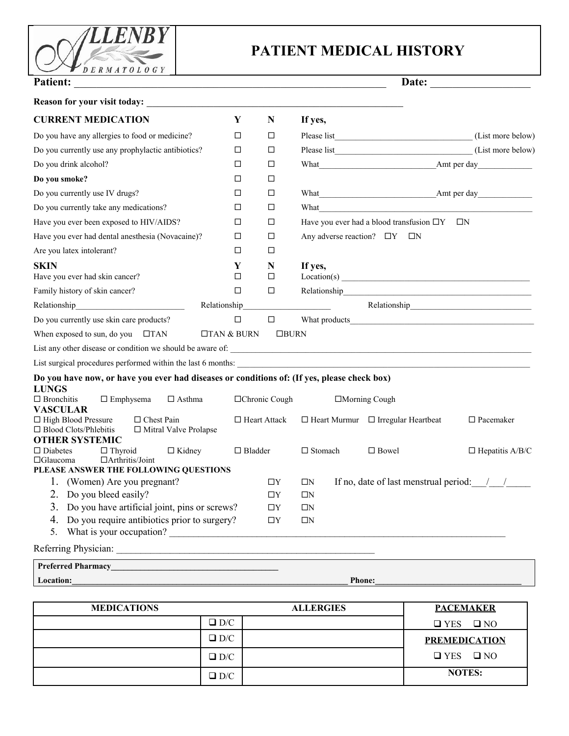

# **PATIENT MEDICAL HISTORY**

| <b>Patient:</b><br><u> 1989 - Johann John Stoff, deutscher Stoffen und der Stoffen und der Stoffen und der Stoffen und der Stoffen</u>   |                   |                       |                |                                                                                                                                                                                                                                      | Date:                  |
|------------------------------------------------------------------------------------------------------------------------------------------|-------------------|-----------------------|----------------|--------------------------------------------------------------------------------------------------------------------------------------------------------------------------------------------------------------------------------------|------------------------|
| <b>Reason for your visit today:</b>                                                                                                      |                   |                       |                |                                                                                                                                                                                                                                      |                        |
| <b>CURRENT MEDICATION</b>                                                                                                                | Y                 | $\mathbf N$           | If yes,        |                                                                                                                                                                                                                                      |                        |
| Do you have any allergies to food or medicine?                                                                                           | □                 | □                     |                |                                                                                                                                                                                                                                      | (List more below)      |
| Do you currently use any prophylactic antibiotics?                                                                                       | □                 | □                     |                |                                                                                                                                                                                                                                      | (List more below)      |
| Do you drink alcohol?                                                                                                                    | □                 | □                     |                |                                                                                                                                                                                                                                      |                        |
| Do you smoke?                                                                                                                            | □                 | □                     |                |                                                                                                                                                                                                                                      |                        |
| Do you currently use IV drugs?                                                                                                           | □                 | □                     |                |                                                                                                                                                                                                                                      |                        |
| Do you currently take any medications?                                                                                                   | □                 | □                     |                | What <u>with the contract of the contract of the contract of the contract of the contract of the contract of the contract of the contract of the contract of the contract of the contract of the contract of the contract of the</u> |                        |
| Have you ever been exposed to HIV/AIDS?                                                                                                  | □                 | □                     |                | Have you ever had a blood transfusion $\Box Y$ $\Box N$                                                                                                                                                                              |                        |
| Have you ever had dental anesthesia (Novacaine)?                                                                                         | □                 | $\Box$                |                | Any adverse reaction? $\Box Y$ $\Box N$                                                                                                                                                                                              |                        |
| Are you latex intolerant?                                                                                                                | □                 | □                     |                |                                                                                                                                                                                                                                      |                        |
| <b>SKIN</b><br>Have you ever had skin cancer?                                                                                            | Y<br>□            | $\mathbf N$<br>$\Box$ | If yes,        | Location(s)                                                                                                                                                                                                                          |                        |
| Family history of skin cancer?                                                                                                           | □                 | □                     |                | Relationship experience and the contract of the contract of the contract of the contract of the contract of the contract of the contract of the contract of the contract of the contract of the contract of the contract of th       |                        |
|                                                                                                                                          | Relationship      |                       |                |                                                                                                                                                                                                                                      |                        |
| Do you currently use skin care products?                                                                                                 | $\Box$            | $\Box$                |                | What products when the state of the state of the state of the state of the state of the state of the state of the state of the state of the state of the state of the state of the state of the state of the state of the stat       |                        |
| When exposed to sun, do you $\Box$ TAN                                                                                                   | $\Box$ TAN & BURN | $\Box$ BURN           |                |                                                                                                                                                                                                                                      |                        |
|                                                                                                                                          |                   |                       |                |                                                                                                                                                                                                                                      |                        |
|                                                                                                                                          |                   |                       |                |                                                                                                                                                                                                                                      |                        |
| Do you have now, or have you ever had diseases or conditions of: (If yes, please check box)                                              |                   |                       |                |                                                                                                                                                                                                                                      |                        |
| <b>LUNGS</b>                                                                                                                             |                   |                       |                |                                                                                                                                                                                                                                      |                        |
| $\Box$ Emphysema<br>$\Box$ Bronchitis<br>$\Box$ Asthma<br><b>VASCULAR</b>                                                                |                   | □Chronic Cough        |                | □Morning Cough                                                                                                                                                                                                                       |                        |
| $\Box$ High Blood Pressure<br>$\Box$ Chest Pain<br>$\Box$ Blood Clots/Phlebitis<br>$\Box$ Mitral Valve Prolapse<br><b>OTHER SYSTEMIC</b> |                   | $\Box$ Heart Attack   |                | $\Box$ Heart Murmur $\Box$ Irregular Heartbeat                                                                                                                                                                                       | $\Box$ Pacemaker       |
| $\Box$ Kidney<br>$\Box$ Diabetes<br>$\Box$ Thyroid<br>$\Box$ Arthritis/Joint<br>$\Box$ Glaucoma<br>PLEASE ANSWER THE FOLLOWING QUESTIONS | $\Box$ Bladder    |                       | $\Box$ Stomach | $\Box$ Bowel                                                                                                                                                                                                                         | $\Box$ Hepatitis A/B/C |
| 1. (Women) Are you pregnant?                                                                                                             |                   | $\Box Y$              | $\square N$    | If no, date of last menstrual period: $\frac{1}{2}$                                                                                                                                                                                  |                        |
| 2. Do you bleed easily?                                                                                                                  |                   | $\Box\mathbf{Y}$      | $\Box N$       |                                                                                                                                                                                                                                      |                        |
| 3. Do you have artificial joint, pins or screws?                                                                                         |                   | $\Box Y$              | $\Box N$       |                                                                                                                                                                                                                                      |                        |
| 4. Do you require antibiotics prior to surgery?                                                                                          |                   | $\Box Y$              | $\Box N$       |                                                                                                                                                                                                                                      |                        |
| What is your occupation?<br>5.                                                                                                           |                   |                       |                |                                                                                                                                                                                                                                      |                        |
|                                                                                                                                          |                   |                       |                |                                                                                                                                                                                                                                      |                        |
|                                                                                                                                          |                   |                       |                |                                                                                                                                                                                                                                      |                        |
| Location:                                                                                                                                |                   |                       |                | <b>Phone:</b>                                                                                                                                                                                                                        |                        |

| <b>MEDICATIONS</b> | <b>ALLERGIES</b> | <b>PACEMAKER</b>     |
|--------------------|------------------|----------------------|
|                    | $\Box$ D/C       | $\Box$ YES $\Box$ NO |
|                    | $\square$ D/C    | <b>PREMEDICATION</b> |
|                    | $\square$ D/C    | $\Box$ YES $\Box$ NO |
|                    | $\Box$ D/C       | <b>NOTES:</b>        |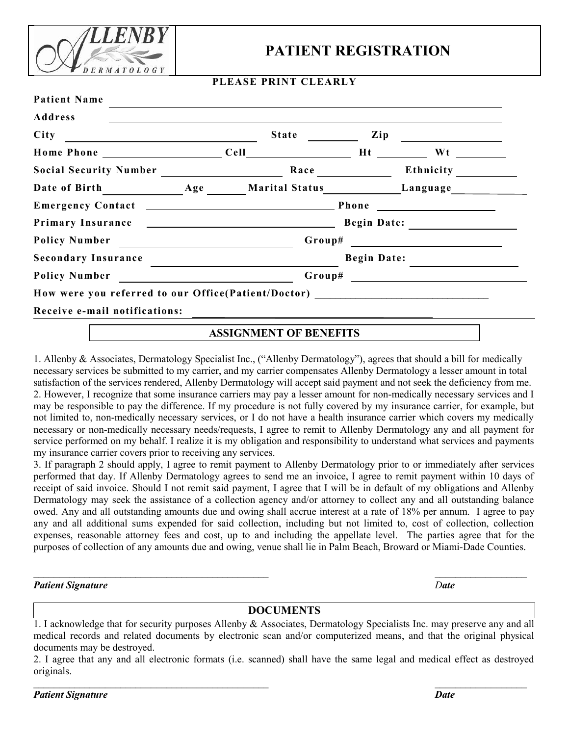

### **PATIENT REGISTRATION**

#### **PLEASE PRINT CLEARLY**

| City<br><u> 1989 - Johann Barn, amerikansk politiker (d. 1989)</u>               |  | <b>State</b> State State State State State State | Zip                | <u> 1980 - Andrea Andrew Maria III, populație de la provincia de la provincia de la provincia de la provincia de</u> |  |  |
|----------------------------------------------------------------------------------|--|--------------------------------------------------|--------------------|----------------------------------------------------------------------------------------------------------------------|--|--|
|                                                                                  |  |                                                  |                    |                                                                                                                      |  |  |
| Social Security Number                                                           |  |                                                  | Race               |                                                                                                                      |  |  |
| Date of Birth Age Marital Status Language                                        |  |                                                  |                    |                                                                                                                      |  |  |
|                                                                                  |  |                                                  |                    |                                                                                                                      |  |  |
|                                                                                  |  |                                                  |                    |                                                                                                                      |  |  |
|                                                                                  |  |                                                  |                    |                                                                                                                      |  |  |
| Secondary Insurance                                                              |  |                                                  | <b>Begin Date:</b> |                                                                                                                      |  |  |
|                                                                                  |  |                                                  |                    |                                                                                                                      |  |  |
| How were you referred to our Office(Patient/Doctor) ____________________________ |  |                                                  |                    |                                                                                                                      |  |  |
| Receive e-mail notifications:                                                    |  |                                                  |                    |                                                                                                                      |  |  |

#### **ASSIGNMENT OF BENEFITS**

1. Allenby & Associates, Dermatology Specialist Inc., ("Allenby Dermatology"), agrees that should a bill for medically necessary services be submitted to my carrier, and my carrier compensates Allenby Dermatology a lesser amount in total satisfaction of the services rendered, Allenby Dermatology will accept said payment and not seek the deficiency from me. 2. However, I recognize that some insurance carriers may pay a lesser amount for non-medically necessary services and I may be responsible to pay the difference. If my procedure is not fully covered by my insurance carrier, for example, but not limited to, non-medically necessary services, or I do not have a health insurance carrier which covers my medically necessary or non-medically necessary needs/requests, I agree to remit to Allenby Dermatology any and all payment for service performed on my behalf. I realize it is my obligation and responsibility to understand what services and payments my insurance carrier covers prior to receiving any services.

3. If paragraph 2 should apply, I agree to remit payment to Allenby Dermatology prior to or immediately after services performed that day. If Allenby Dermatology agrees to send me an invoice, I agree to remit payment within 10 days of receipt of said invoice. Should I not remit said payment, I agree that I will be in default of my obligations and Allenby Dermatology may seek the assistance of a collection agency and/or attorney to collect any and all outstanding balance owed. Any and all outstanding amounts due and owing shall accrue interest at a rate of 18% per annum. I agree to pay any and all additional sums expended for said collection, including but not limited to, cost of collection, collection expenses, reasonable attorney fees and cost, up to and including the appellate level. The parties agree that for the purposes of collection of any amounts due and owing, venue shall lie in Palm Beach, Broward or Miami-Dade Counties.

#### *Patient Signature Date*

#### **DOCUMENTS**

 $\mathcal{L}_\text{max} = \frac{1}{2} \sum_{i=1}^n \mathcal{L}_\text{max}(\mathbf{z}_i - \mathbf{z}_i)$ 

 $\mathcal{L}_\text{max}$  and  $\mathcal{L}_\text{max}$  and  $\mathcal{L}_\text{max}$  and  $\mathcal{L}_\text{max}$  and  $\mathcal{L}_\text{max}$  and  $\mathcal{L}_\text{max}$ 

*Patient Signature Date*

<sup>1.</sup> I acknowledge that for security purposes Allenby & Associates, Dermatology Specialists Inc. may preserve any and all medical records and related documents by electronic scan and/or computerized means, and that the original physical documents may be destroyed.

<sup>2.</sup> I agree that any and all electronic formats (i.e. scanned) shall have the same legal and medical effect as destroyed originals.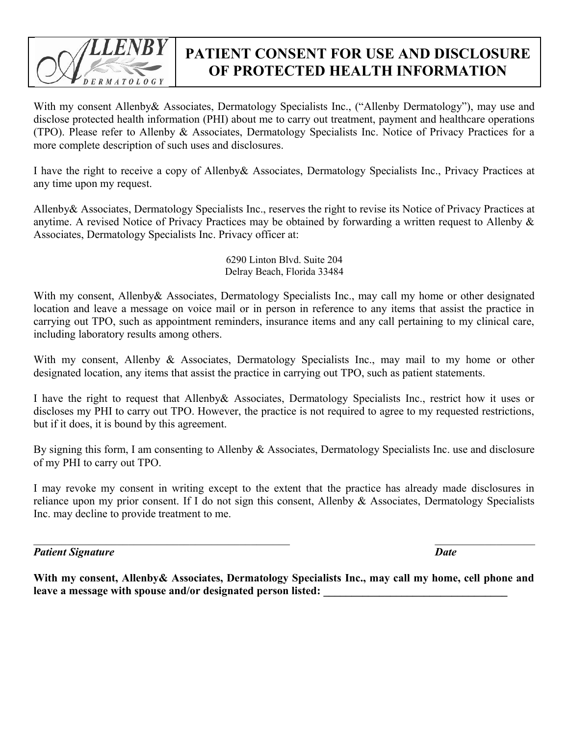

# **PATIENT CONSENT FOR USE AND DISCLOSURE OF PROTECTED HEALTH INFORMATION**

With my consent Allenby & Associates, Dermatology Specialists Inc., ("Allenby Dermatology"), may use and disclose protected health information (PHI) about me to carry out treatment, payment and healthcare operations (TPO). Please refer to Allenby & Associates, Dermatology Specialists Inc. Notice of Privacy Practices for a more complete description of such uses and disclosures.

I have the right to receive a copy of Allenby& Associates, Dermatology Specialists Inc., Privacy Practices at any time upon my request.

Allenby& Associates, Dermatology Specialists Inc., reserves the right to revise its Notice of Privacy Practices at anytime. A revised Notice of Privacy Practices may be obtained by forwarding a written request to Allenby & Associates, Dermatology Specialists Inc. Privacy officer at:

> 6290 Linton Blvd. Suite 204 Delray Beach, Florida 33484

With my consent, Allenby & Associates, Dermatology Specialists Inc., may call my home or other designated location and leave a message on voice mail or in person in reference to any items that assist the practice in carrying out TPO, such as appointment reminders, insurance items and any call pertaining to my clinical care, including laboratory results among others.

With my consent, Allenby & Associates, Dermatology Specialists Inc., may mail to my home or other designated location, any items that assist the practice in carrying out TPO, such as patient statements.

I have the right to request that Allenby& Associates, Dermatology Specialists Inc., restrict how it uses or discloses my PHI to carry out TPO. However, the practice is not required to agree to my requested restrictions, but if it does, it is bound by this agreement.

By signing this form, I am consenting to Allenby & Associates, Dermatology Specialists Inc. use and disclosure of my PHI to carry out TPO.

I may revoke my consent in writing except to the extent that the practice has already made disclosures in reliance upon my prior consent. If I do not sign this consent, Allenby & Associates, Dermatology Specialists Inc. may decline to provide treatment to me.

 $\mathcal{L}_\text{max}$  , and the contribution of the contribution of the contribution of the contribution of the contribution of the contribution of the contribution of the contribution of the contribution of the contribution of t

*Patient Signature Date*

**With my consent, Allenby& Associates, Dermatology Specialists Inc., may call my home, cell phone and** leave a message with spouse and/or designated person listed: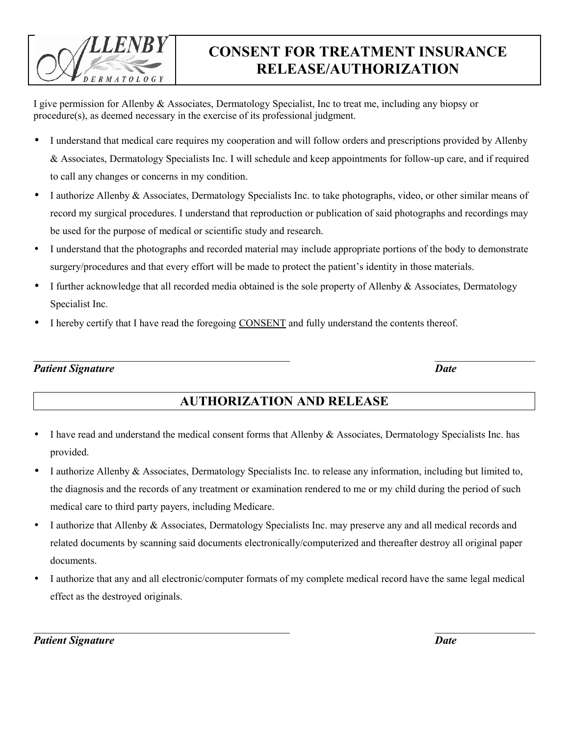## **CONSENT FOR TREATMENT INSURANCE RELEASE/AUTHORIZATION**

I give permission for Allenby & Associates, Dermatology Specialist, Inc to treat me, including any biopsy or procedure(s), as deemed necessary in the exercise of its professional judgment.

- I understand that medical care requires my cooperation and will follow orders and prescriptions provided by Allenby & Associates, Dermatology Specialists Inc. I will schedule and keep appointments for follow-up care, and if required to call any changes or concerns in my condition.
- I authorize Allenby & Associates, Dermatology Specialists Inc. to take photographs, video, or other similar means of record my surgical procedures. I understand that reproduction or publication of said photographs and recordings may be used for the purpose of medical or scientific study and research.
- I understand that the photographs and recorded material may include appropriate portions of the body to demonstrate surgery/procedures and that every effort will be made to protect the patient's identity in those materials.
- I further acknowledge that all recorded media obtained is the sole property of Allenby & Associates, Dermatology Specialist Inc.
- I hereby certify that I have read the foregoing CONSENT and fully understand the contents thereof.

*Patient Signature Date*

 $D E R M A T O L O G Y$ 

### **AUTHORIZATION AND RELEASE**

- I have read and understand the medical consent forms that Allenby & Associates, Dermatology Specialists Inc. has provided.
- I authorize Allenby & Associates, Dermatology Specialists Inc. to release any information, including but limited to, the diagnosis and the records of any treatment or examination rendered to me or my child during the period of such medical care to third party payers, including Medicare.
- I authorize that Allenby & Associates, Dermatology Specialists Inc. may preserve any and all medical records and related documents by scanning said documents electronically/computerized and thereafter destroy all original paper documents.
- I authorize that any and all electronic/computer formats of my complete medical record have the same legal medical effect as the destroyed originals.

 $\mathcal{L}_\text{max}$  , and the contribution of the contribution of the contribution of the contribution of the contribution of the contribution of the contribution of the contribution of the contribution of the contribution of t

*Patient Signature Date*

 $\mathcal{L}_\text{max}$  , and the contribution of the contribution of the contribution of the contribution of the contribution of the contribution of the contribution of the contribution of the contribution of the contribution of t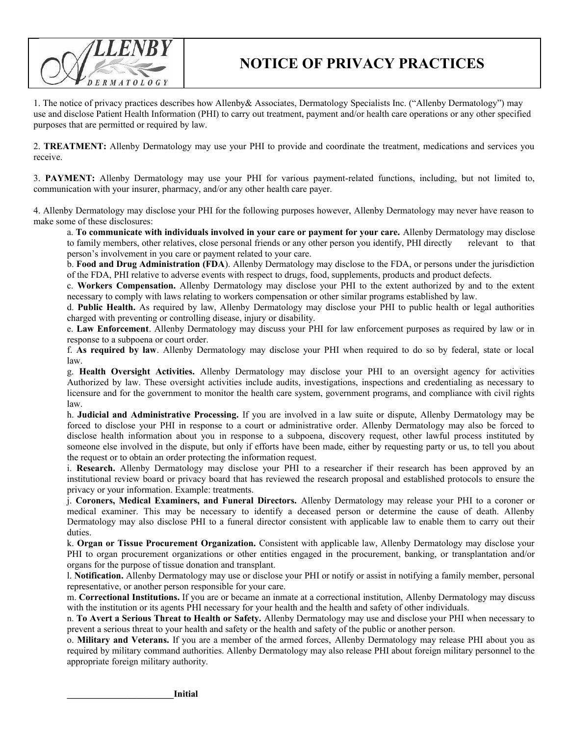

### **NOTICE OF PRIVACY PRACTICES**

1. The notice of privacy practices describes how Allenby& Associates, Dermatology Specialists Inc. ("Allenby Dermatology") may use and disclose Patient Health Information (PHI) to carry out treatment, payment and/or health care operations or any other specified purposes that are permitted or required by law.

2. **TREATMENT:** Allenby Dermatology may use your PHI to provide and coordinate the treatment, medications and services you receive.

3. **PAYMENT:** Allenby Dermatology may use your PHI for various payment-related functions, including, but not limited to, communication with your insurer, pharmacy, and/or any other health care payer.

4. Allenby Dermatology may disclose your PHI for the following purposes however, Allenby Dermatology may never have reason to make some of these disclosures:

a. **To communicate with individuals involved in your care or payment for your care.** Allenby Dermatology may disclose to family members, other relatives, close personal friends or any other person you identify, PHI directly relevant to that person's involvement in you care or payment related to your care.

b. **Food and Drug Administration (FDA**). Allenby Dermatology may disclose to the FDA, or persons under the jurisdiction of the FDA, PHI relative to adverse events with respect to drugs, food, supplements, products and product defects.

c. **Workers Compensation.** Allenby Dermatology may disclose your PHI to the extent authorized by and to the extent necessary to comply with laws relating to workers compensation or other similar programs established by law.

d. **Public Health.** As required by law, Allenby Dermatology may disclose your PHI to public health or legal authorities charged with preventing or controlling disease, injury or disability.

e. **Law Enforcement**. Allenby Dermatology may discuss your PHI for law enforcement purposes as required by law or in response to a subpoena or court order.

f. **As required by law**. Allenby Dermatology may disclose your PHI when required to do so by federal, state or local law.

g. **Health Oversight Activities.** Allenby Dermatology may disclose your PHI to an oversight agency for activities Authorized by law. These oversight activities include audits, investigations, inspections and credentialing as necessary to licensure and for the government to monitor the health care system, government programs, and compliance with civil rights law.

h. **Judicial and Administrative Processing.** If you are involved in a law suite or dispute, Allenby Dermatology may be forced to disclose your PHI in response to a court or administrative order. Allenby Dermatology may also be forced to disclose health information about you in response to a subpoena, discovery request, other lawful process instituted by someone else involved in the dispute, but only if efforts have been made, either by requesting party or us, to tell you about the request or to obtain an order protecting the information request.

i. **Research.** Allenby Dermatology may disclose your PHI to a researcher if their research has been approved by an institutional review board or privacy board that has reviewed the research proposal and established protocols to ensure the privacy or your information. Example: treatments.

j. **Coroners, Medical Examiners, and Funeral Directors.** Allenby Dermatology may release your PHI to a coroner or medical examiner. This may be necessary to identify a deceased person or determine the cause of death. Allenby Dermatology may also disclose PHI to a funeral director consistent with applicable law to enable them to carry out their duties.

k. **Organ or Tissue Procurement Organization.** Consistent with applicable law, Allenby Dermatology may disclose your PHI to organ procurement organizations or other entities engaged in the procurement, banking, or transplantation and/or organs for the purpose of tissue donation and transplant.

l. **Notification.** Allenby Dermatology may use or disclose your PHI or notify or assist in notifying a family member, personal representative, or another person responsible for your care.

m. **Correctional Institutions.** If you are or became an inmate at a correctional institution, Allenby Dermatology may discuss with the institution or its agents PHI necessary for your health and the health and safety of other individuals.

n. **To Avert a Serious Threat to Health or Safety.** Allenby Dermatology may use and disclose your PHI when necessary to prevent a serious threat to your health and safety or the health and safety of the public or another person.

o. **Military and Veterans.** If you are a member of the armed forces, Allenby Dermatology may release PHI about you as required by military command authorities. Allenby Dermatology may also release PHI about foreign military personnel to the appropriate foreign military authority.